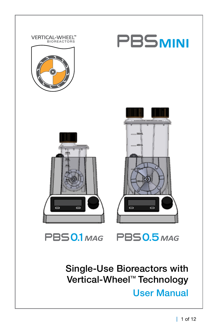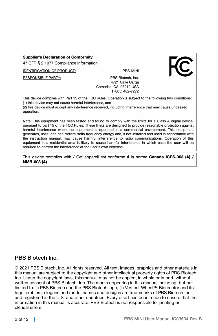#### **Supplier's Declaration of Conformity**

47 CFR § 2.1077 Compliance Information

**IDENTIFICATION OF PRODUCT:** 

**RESPONSIBLE PARTY:** 

PRS-MINI



This device complies with Part 15 of the FCC Rules. Operation is subject to the following two conditions: (1) this device may not cause harmful interference, and

(2) this device must accept any interference received, including interference that may cause undesired operation.

Note: This equipment has been tested and found to comply with the limits for a Class A digital device. pursuant to part 15 of the FCC Rules. These limits are designed to provide reasonable protection against harmful interference when the equipment is operated in a commercial environment. This equipment generates, uses, and can radiate radio frequency energy and, if not installed and used in accordance with the instruction manual, may cause harmful interference to radio communications. Operation of this equipment in a residential area is likely to cause harmful interference in which case the user will be required to correct the interference at the user's own expense.

This device complies with / Cet appareil est conforme à la norme Canada ICES-003 (A) / **NMB-003 (A)** 

#### PBS Biotech Inc.

© 2021 PBS Biotech, Inc. All rights reserved. All text, images, graphics and other materials in this manual are subject to the copyright and other intellectual property rights of PBS Biotech Inc. Under the copyright laws, this manual may not be copied, in whole or in part, without written consent of PBS Biotech, Inc. The marks appearing in this manual including, but not limited to: (i) PBS Biotech and the PBS Biotech logo; (ii) Vertical-Wheel™ Bioreactor and its logo, emblem, slogans and model names and designs are trademarks of PBS Biotech Inc., and registered in the U.S. and other countries. Every effort has been made to ensure that the information in this manual is accurate. PBS Biotech is not responsible for printing or clerical errors.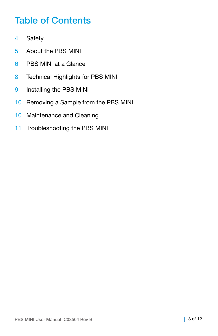### Table of Contents

- 4 Safety
- 5 About the PBS MINI
- 6 PBS MINI at a Glance
- 8 Technical Highlights for PBS MINI
- 9 Installing the PBS MINI
- 10 Removing a Sample from the PBS MINI
- 10 Maintenance and Cleaning
- 11 Troubleshooting the PBS MINI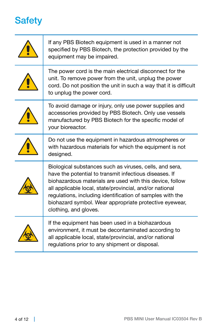# Safety

| If any PBS Biotech equipment is used in a manner not<br>specified by PBS Biotech, the protection provided by the<br>equipment may be impaired.                                                                                                                                                                                                                                           |
|------------------------------------------------------------------------------------------------------------------------------------------------------------------------------------------------------------------------------------------------------------------------------------------------------------------------------------------------------------------------------------------|
| The power cord is the main electrical disconnect for the<br>unit. To remove power from the unit, unplug the power<br>cord. Do not position the unit in such a way that it is difficult<br>to unplug the power cord.                                                                                                                                                                      |
| To avoid damage or injury, only use power supplies and<br>accessories provided by PBS Biotech. Only use vessels<br>manufactured by PBS Biotech for the specific model of<br>your bioreactor.                                                                                                                                                                                             |
| Do not use the equipment in hazardous atmospheres or<br>with hazardous materials for which the equipment is not<br>designed.                                                                                                                                                                                                                                                             |
| Biological substances such as viruses, cells, and sera,<br>have the potential to transmit infectious diseases. If<br>biohazardous materials are used with this device, follow<br>all applicable local, state/provincial, and/or national<br>regulations, including identification of samples with the<br>biohazard symbol. Wear appropriate protective eyewear,<br>clothing, and gloves. |
| If the equipment has been used in a biohazardous<br>environment, it must be decontaminated according to<br>all applicable local, state/provincial, and/or national<br>regulations prior to any shipment or disposal.                                                                                                                                                                     |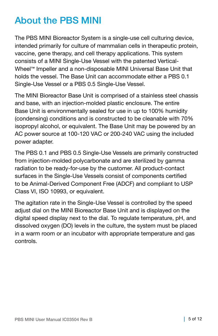### About the PBS MINI

The PBS MINI Bioreactor System is a single-use cell culturing device, intended primarily for culture of mammalian cells in therapeutic protein, vaccine, gene therapy, and cell therapy applications. This system consists of a MINI Single-Use Vessel with the patented Vertical-Wheel™ Impeller and a non-disposable MINI Universal Base Unit that holds the vessel. The Base Unit can accommodate either a PBS 0.1 Single-Use Vessel or a PBS 0.5 Single-Use Vessel.

The MINI Bioreactor Base Unit is comprised of a stainless steel chassis and base, with an injection-molded plastic enclosure. The entire Base Unit is environmentally sealed for use in up to 100% humidity (condensing) conditions and is constructed to be cleanable with 70% isopropyl alcohol, or equivalent. The Base Unit may be powered by an AC power source at 100-120 VAC or 200-240 VAC using the included power adapter.

The PBS 0.1 and PBS 0.5 Single-Use Vessels are primarily constructed from injection-molded polycarbonate and are sterilized by gamma radiation to be ready-for-use by the customer. All product-contact surfaces in the Single-Use Vessels consist of components certified to be Animal-Derived Component Free (ADCF) and compliant to USP Class VI, ISO 10993, or equivalent.

The agitation rate in the Single-Use Vessel is controlled by the speed adjust dial on the MINI Bioreactor Base Unit and is displayed on the digital speed display next to the dial. To regulate temperature, pH, and dissolved oxygen (DO) levels in the culture, the system must be placed in a warm room or an incubator with appropriate temperature and gas controls.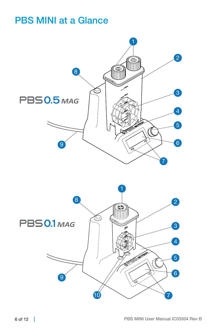### PBS MINI at a Glance



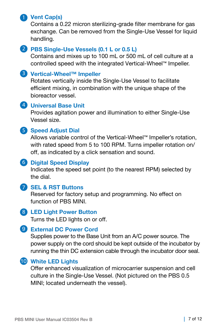#### **Vent Cap(s)** 1

Contains a 0.22 micron sterilizing-grade filter membrane for gas exchange. Can be removed from the Single-Use Vessel for liquid handling.

#### **PBS Single-Use Vessels (0.1 L or 0.5 L)** 2

Contains and mixes up to 100 mL or 500 mL of cell culture at a controlled speed with the integrated Vertical-Wheel™ Impeller.

### **Vertical-Wheel™ Impeller** 3

Rotates vertically inside the Single-Use Vessel to facilitate efficient mixing, in combination with the unique shape of the bioreactor vessel.

#### **Universal Base Unit** 4

Provides agitation power and illumination to either Single-Use Vessel size.

#### **S** Speed Adjust Dial

Allows variable control of the Vertical-Wheel™ Impeller's rotation, with rated speed from 5 to 100 RPM. Turns impeller rotation on/ off, as indicated by a click sensation and sound.

#### **Digital Speed Display** 6

Indicates the speed set point (to the nearest RPM) selected by the dial.

#### **SEL & RST Buttons** 7

Reserved for factory setup and programming. No effect on function of PBS MINI.

#### **LED Light Power Button** 8

Turns the LED lights on or off.

#### **External DC Power Cord**  9

Supplies power to the Base Unit from an A/C power source. The power supply on the cord should be kept outside of the incubator by running the thin DC extension cable through the incubator door seal.

#### **White LED Lights** 10

Offer enhanced visualization of microcarrier suspension and cell culture in the Single-Use Vessel. (Not pictured on the PBS 0.5 MINI; located underneath the vessel).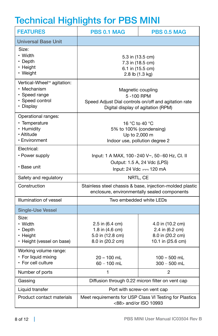# Technical Highlights for PBS MINI

| <b>FEATURES</b>                                                                                        | <b>PBS 0.1 MAG</b>                                                                                                           | PBS 0.5 MAG                                                                  |  |
|--------------------------------------------------------------------------------------------------------|------------------------------------------------------------------------------------------------------------------------------|------------------------------------------------------------------------------|--|
| <b>Universal Base Unit</b>                                                                             |                                                                                                                              |                                                                              |  |
| Size:<br>• Width<br>$\cdot$ Depth<br>• Height<br>• Weight                                              | 5.3 in (13.5 cm)<br>7.3 in (18.5 cm)<br>6.1 in (15.5 cm)<br>2.8 lb (1.3 kg)                                                  |                                                                              |  |
| Vertical-Wheel <sup>™</sup> agitation:<br>• Mechanism<br>• Speed range<br>· Speed control<br>• Display | Magnetic coupling<br>5-100 RPM<br>Speed Adjust Dial controls on/off and agitation rate<br>Digital display of agitation (RPM) |                                                                              |  |
| Operational ranges:<br>• Temperature<br>• Humidity<br>· Altitude<br>• Environment                      | 16 °C to 40 °C<br>5% to 100% (condensing)<br>Up to 2,000 m<br>Indoor use, pollution degree 2                                 |                                                                              |  |
| Electrical:<br>• Power supply<br>• Base unit                                                           | lnput: 1 A MAX, 100 - 240 V~, 50 - 60 Hz, Cl. II<br>Output: 1.5 A, 24 Vdc (LPS)<br>Input: 24 Vdc === 120 mA                  |                                                                              |  |
| Safety and regulatory                                                                                  | NRTL, CE                                                                                                                     |                                                                              |  |
| Construction                                                                                           | Stainless steel chassis & base, injection-molded plastic<br>enclosure, environmentally sealed components                     |                                                                              |  |
| Illumination of vessel                                                                                 | Two embedded white LEDs                                                                                                      |                                                                              |  |
| <b>Single-Use Vessel</b>                                                                               |                                                                                                                              |                                                                              |  |
| Size:<br>• Width<br>• Depth<br>• Height<br>• Height (vessel on base)                                   | 2.5 in (6.4 cm)<br>1.8 in (4.6 cm)<br>5.0 in (12.8 cm)<br>8.0 in (20.2 cm)                                                   | 4.0 in (10.2 cm)<br>2.4 in (6.2 cm)<br>8.0 in (20.2 cm)<br>10.1 in (25.6 cm) |  |
| Working volume range:<br>• For liquid mixing<br>• For cell culture                                     | 20 - 100 mL<br>$60 - 100$ mL                                                                                                 | $100 - 500$ mL<br>$300 - 500$ mL                                             |  |
| Number of ports                                                                                        | 1                                                                                                                            | $\overline{2}$                                                               |  |
| Gassing                                                                                                | Diffusion through 0.22 micron filter on vent cap                                                                             |                                                                              |  |
| Liquid transfer                                                                                        | Port with screw-on vent cap                                                                                                  |                                                                              |  |
| Product contact materials                                                                              | Meet requirements for USP Class VI Testing for Plastics<br><88> and/or ISO 10993                                             |                                                                              |  |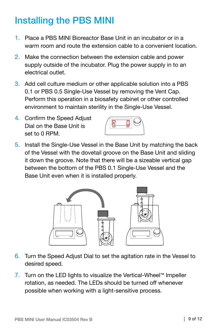## Installing the PBS MINI

- 1. Place a PBS MINI Bioreactor Base Unit in an incubator or in a warm room and route the extension cable to a convenient location.
- 2. Make the connection between the extension cable and power supply outside of the incubator. Plug the power supply in to an electrical outlet.
- 3. Add cell culture medium or other applicable solution into a PBS 0.1 or PBS 0.5 Single-Use Vessel by removing the Vent Cap. Perform this operation in a biosafety cabinet or other controlled environment to maintain sterility in the Single-Use Vessel.
- 4. Confirm the Speed Adjust Dial on the Base Unit is set to 0 RPM.



5. Install the Single-Use Vessel in the Base Unit by matching the back of the Vessel with the dovetail groove on the Base Unit and sliding it down the groove. Note that there will be a sizeable vertical gap between the bottom of the PBS 0.1 Single-Use Vessel and the Base Unit even when it is installed properly.



- 6. Turn the Speed Adjust Dial to set the agitation rate in the Vessel to desired speed.
- 7. Turn on the LED lights to visualize the Vertical-Wheel™ Impeller rotation, as needed. The LEDs should be turned off whenever possible when working with a light-sensitive process.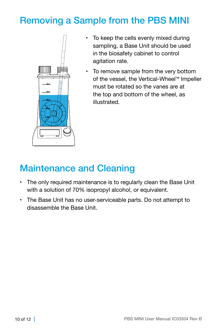### Removing a Sample from the PBS MINI



- To keep the cells evenly mixed during sampling, a Base Unit should be used in the biosafety cabinet to control agitation rate.
- To remove sample from the very bottom of the vessel, the Vertical-Wheel™ Impeller must be rotated so the vanes are at the top and bottom of the wheel, as illustrated.

### Maintenance and Cleaning

- The only required maintenance is to regularly clean the Base Unit with a solution of 70% isopropyl alcohol, or equivalent.
- The Base Unit has no user-serviceable parts. Do not attempt to disassemble the Base Unit.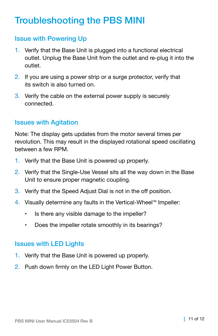### Troubleshooting the PBS MINI

### Issue with Powering Up

- 1. Verify that the Base Unit is plugged into a functional electrical outlet. Unplug the Base Unit from the outlet and re-plug it into the outlet.
- 2. If you are using a power strip or a surge protector, verify that its switch is also turned on.
- 3. Verify the cable on the external power supply is securely connected.

### Issues with Agitation

Note: The display gets updates from the motor several times per revolution. This may result in the displayed rotational speed oscillating between a few RPM.

- 1. Verify that the Base Unit is powered up properly.
- 2. Verify that the Single-Use Vessel sits all the way down in the Base Unit to ensure proper magnetic coupling.
- 3. Verify that the Speed Adjust Dial is not in the off position.
- 4. Visually determine any faults in the Vertical-Wheel™ Impeller:
	- Is there any visible damage to the impeller?
	- Does the impeller rotate smoothly in its bearings?

#### Issues with LED Lights

- 1. Verify that the Base Unit is powered up properly.
- 2. Push down firmly on the LED Light Power Button.